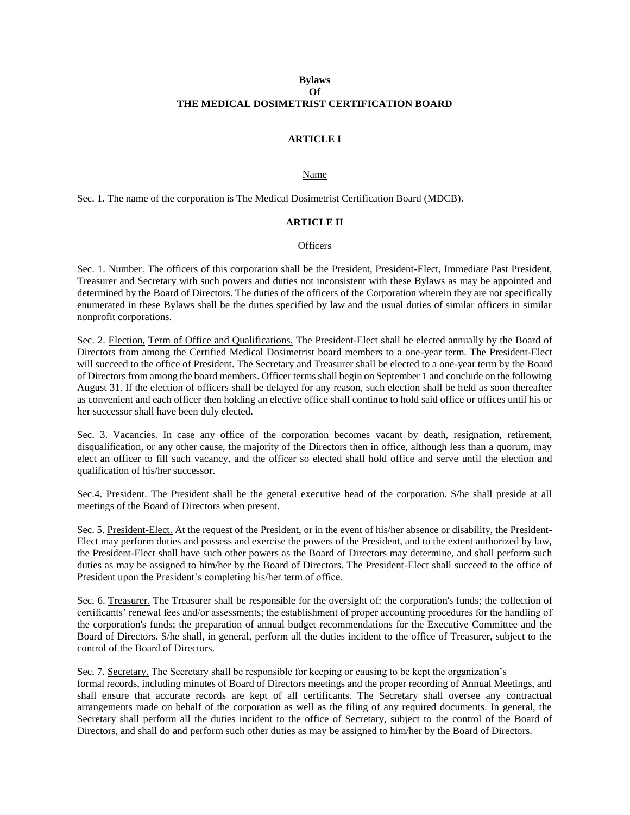# **Bylaws Of THE MEDICAL DOSIMETRIST CERTIFICATION BOARD**

# **ARTICLE I**

### Name

Sec. 1. The name of the corporation is The Medical Dosimetrist Certification Board (MDCB).

### **ARTICLE II**

### **Officers**

Sec. 1. Number. The officers of this corporation shall be the President, President-Elect, Immediate Past President, Treasurer and Secretary with such powers and duties not inconsistent with these Bylaws as may be appointed and determined by the Board of Directors. The duties of the officers of the Corporation wherein they are not specifically enumerated in these Bylaws shall be the duties specified by law and the usual duties of similar officers in similar nonprofit corporations.

Sec. 2. Election, Term of Office and Qualifications. The President-Elect shall be elected annually by the Board of Directors from among the Certified Medical Dosimetrist board members to a one-year term. The President-Elect will succeed to the office of President. The Secretary and Treasurer shall be elected to a one-year term by the Board of Directors from among the board members. Officer terms shall begin on September 1 and conclude on the following August 31. If the election of officers shall be delayed for any reason, such election shall be held as soon thereafter as convenient and each officer then holding an elective office shall continue to hold said office or offices until his or her successor shall have been duly elected.

Sec. 3. Vacancies. In case any office of the corporation becomes vacant by death, resignation, retirement, disqualification, or any other cause, the majority of the Directors then in office, although less than a quorum, may elect an officer to fill such vacancy, and the officer so elected shall hold office and serve until the election and qualification of his/her successor.

Sec.4. President. The President shall be the general executive head of the corporation. S/he shall preside at all meetings of the Board of Directors when present.

Sec. 5. President-Elect. At the request of the President, or in the event of his/her absence or disability, the President-Elect may perform duties and possess and exercise the powers of the President, and to the extent authorized by law, the President-Elect shall have such other powers as the Board of Directors may determine, and shall perform such duties as may be assigned to him/her by the Board of Directors. The President-Elect shall succeed to the office of President upon the President's completing his/her term of office.

Sec. 6. Treasurer. The Treasurer shall be responsible for the oversight of: the corporation's funds; the collection of certificants' renewal fees and/or assessments; the establishment of proper accounting procedures for the handling of the corporation's funds; the preparation of annual budget recommendations for the Executive Committee and the Board of Directors. S/he shall, in general, perform all the duties incident to the office of Treasurer, subject to the control of the Board of Directors.

Sec. 7. Secretary. The Secretary shall be responsible for keeping or causing to be kept the organization's formal records, including minutes of Board of Directors meetings and the proper recording of Annual Meetings, and shall ensure that accurate records are kept of all certificants. The Secretary shall oversee any contractual arrangements made on behalf of the corporation as well as the filing of any required documents. In general, the Secretary shall perform all the duties incident to the office of Secretary, subject to the control of the Board of Directors, and shall do and perform such other duties as may be assigned to him/her by the Board of Directors.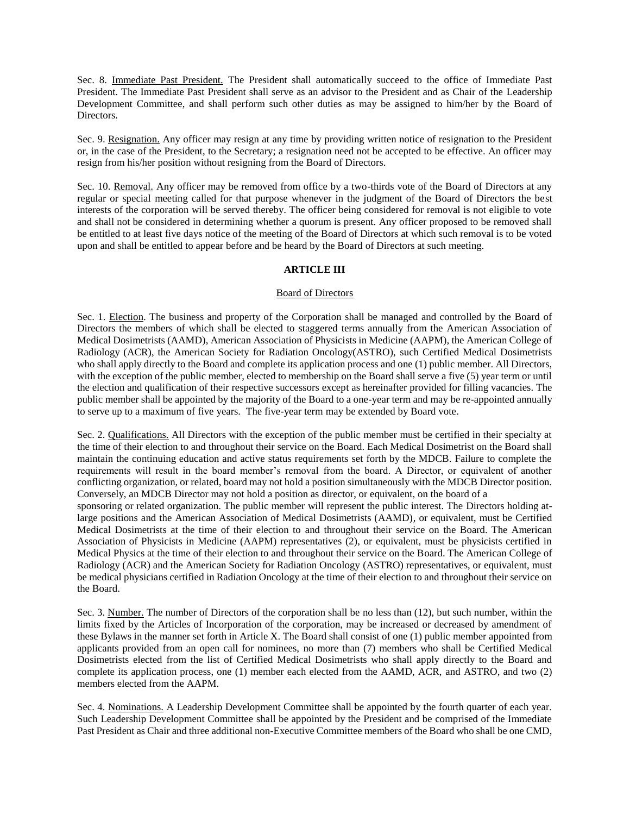Sec. 8. Immediate Past President. The President shall automatically succeed to the office of Immediate Past President. The Immediate Past President shall serve as an advisor to the President and as Chair of the Leadership Development Committee, and shall perform such other duties as may be assigned to him/her by the Board of Directors.

Sec. 9. Resignation. Any officer may resign at any time by providing written notice of resignation to the President or, in the case of the President, to the Secretary; a resignation need not be accepted to be effective. An officer may resign from his/her position without resigning from the Board of Directors.

Sec. 10. Removal. Any officer may be removed from office by a two-thirds vote of the Board of Directors at any regular or special meeting called for that purpose whenever in the judgment of the Board of Directors the best interests of the corporation will be served thereby. The officer being considered for removal is not eligible to vote and shall not be considered in determining whether a quorum is present. Any officer proposed to be removed shall be entitled to at least five days notice of the meeting of the Board of Directors at which such removal is to be voted upon and shall be entitled to appear before and be heard by the Board of Directors at such meeting.

### **ARTICLE III**

### Board of Directors

Sec. 1. Election. The business and property of the Corporation shall be managed and controlled by the Board of Directors the members of which shall be elected to staggered terms annually from the American Association of Medical Dosimetrists (AAMD), American Association of Physicists in Medicine (AAPM), the American College of Radiology (ACR), the American Society for Radiation Oncology(ASTRO), such Certified Medical Dosimetrists who shall apply directly to the Board and complete its application process and one (1) public member. All Directors, with the exception of the public member, elected to membership on the Board shall serve a five (5) year term or until the election and qualification of their respective successors except as hereinafter provided for filling vacancies. The public member shall be appointed by the majority of the Board to a one-year term and may be re-appointed annually to serve up to a maximum of five years. The five-year term may be extended by Board vote.

Sec. 2. Qualifications. All Directors with the exception of the public member must be certified in their specialty at the time of their election to and throughout their service on the Board. Each Medical Dosimetrist on the Board shall maintain the continuing education and active status requirements set forth by the MDCB. Failure to complete the requirements will result in the board member's removal from the board. A Director, or equivalent of another conflicting organization, or related, board may not hold a position simultaneously with the MDCB Director position. Conversely, an MDCB Director may not hold a position as director, or equivalent, on the board of a

sponsoring or related organization. The public member will represent the public interest. The Directors holding atlarge positions and the American Association of Medical Dosimetrists (AAMD), or equivalent, must be Certified Medical Dosimetrists at the time of their election to and throughout their service on the Board. The American Association of Physicists in Medicine (AAPM) representatives (2), or equivalent, must be physicists certified in Medical Physics at the time of their election to and throughout their service on the Board. The American College of Radiology (ACR) and the American Society for Radiation Oncology (ASTRO) representatives, or equivalent, must be medical physicians certified in Radiation Oncology at the time of their election to and throughout their service on the Board.

Sec. 3. Number. The number of Directors of the corporation shall be no less than (12), but such number, within the limits fixed by the Articles of Incorporation of the corporation, may be increased or decreased by amendment of these Bylaws in the manner set forth in Article X. The Board shall consist of one (1) public member appointed from applicants provided from an open call for nominees, no more than (7) members who shall be Certified Medical Dosimetrists elected from the list of Certified Medical Dosimetrists who shall apply directly to the Board and complete its application process, one (1) member each elected from the AAMD, ACR, and ASTRO, and two (2) members elected from the AAPM.

Sec. 4. Nominations. A Leadership Development Committee shall be appointed by the fourth quarter of each year. Such Leadership Development Committee shall be appointed by the President and be comprised of the Immediate Past President as Chair and three additional non-Executive Committee members of the Board who shall be one CMD,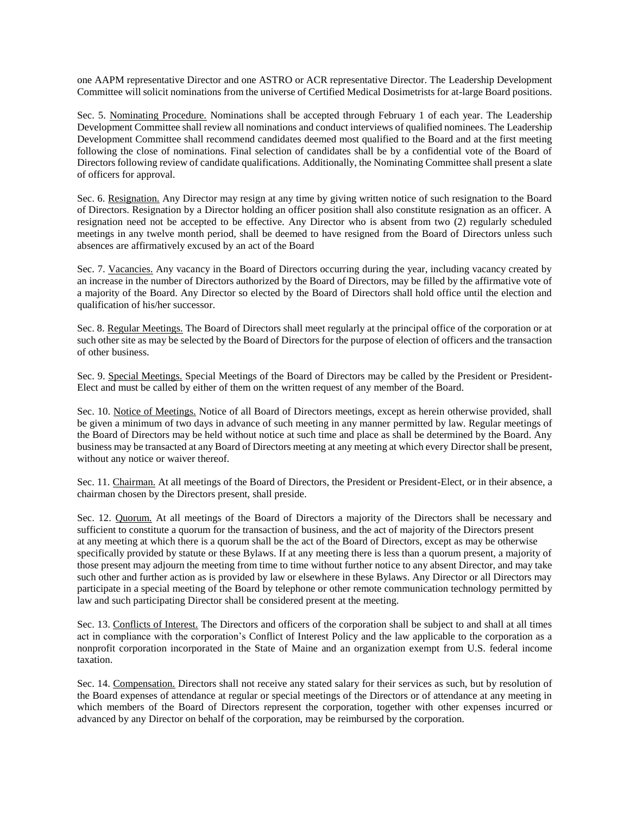one AAPM representative Director and one ASTRO or ACR representative Director. The Leadership Development Committee will solicit nominations from the universe of Certified Medical Dosimetrists for at-large Board positions.

Sec. 5. Nominating Procedure. Nominations shall be accepted through February 1 of each year. The Leadership Development Committee shall review all nominations and conduct interviews of qualified nominees. The Leadership Development Committee shall recommend candidates deemed most qualified to the Board and at the first meeting following the close of nominations. Final selection of candidates shall be by a confidential vote of the Board of Directors following review of candidate qualifications. Additionally, the Nominating Committee shall present a slate of officers for approval.

Sec. 6. Resignation. Any Director may resign at any time by giving written notice of such resignation to the Board of Directors. Resignation by a Director holding an officer position shall also constitute resignation as an officer. A resignation need not be accepted to be effective. Any Director who is absent from two (2) regularly scheduled meetings in any twelve month period, shall be deemed to have resigned from the Board of Directors unless such absences are affirmatively excused by an act of the Board

Sec. 7. Vacancies. Any vacancy in the Board of Directors occurring during the year, including vacancy created by an increase in the number of Directors authorized by the Board of Directors, may be filled by the affirmative vote of a majority of the Board. Any Director so elected by the Board of Directors shall hold office until the election and qualification of his/her successor.

Sec. 8. Regular Meetings. The Board of Directors shall meet regularly at the principal office of the corporation or at such other site as may be selected by the Board of Directors for the purpose of election of officers and the transaction of other business.

Sec. 9. Special Meetings. Special Meetings of the Board of Directors may be called by the President or President-Elect and must be called by either of them on the written request of any member of the Board.

Sec. 10. Notice of Meetings. Notice of all Board of Directors meetings, except as herein otherwise provided, shall be given a minimum of two days in advance of such meeting in any manner permitted by law. Regular meetings of the Board of Directors may be held without notice at such time and place as shall be determined by the Board. Any business may be transacted at any Board of Directors meeting at any meeting at which every Director shall be present, without any notice or waiver thereof.

Sec. 11. Chairman. At all meetings of the Board of Directors, the President or President-Elect, or in their absence, a chairman chosen by the Directors present, shall preside.

Sec. 12. Quorum. At all meetings of the Board of Directors a majority of the Directors shall be necessary and sufficient to constitute a quorum for the transaction of business, and the act of majority of the Directors present at any meeting at which there is a quorum shall be the act of the Board of Directors, except as may be otherwise specifically provided by statute or these Bylaws. If at any meeting there is less than a quorum present, a majority of those present may adjourn the meeting from time to time without further notice to any absent Director, and may take such other and further action as is provided by law or elsewhere in these Bylaws. Any Director or all Directors may participate in a special meeting of the Board by telephone or other remote communication technology permitted by law and such participating Director shall be considered present at the meeting.

Sec. 13. Conflicts of Interest. The Directors and officers of the corporation shall be subject to and shall at all times act in compliance with the corporation's Conflict of Interest Policy and the law applicable to the corporation as a nonprofit corporation incorporated in the State of Maine and an organization exempt from U.S. federal income taxation.

Sec. 14. Compensation. Directors shall not receive any stated salary for their services as such, but by resolution of the Board expenses of attendance at regular or special meetings of the Directors or of attendance at any meeting in which members of the Board of Directors represent the corporation, together with other expenses incurred or advanced by any Director on behalf of the corporation, may be reimbursed by the corporation.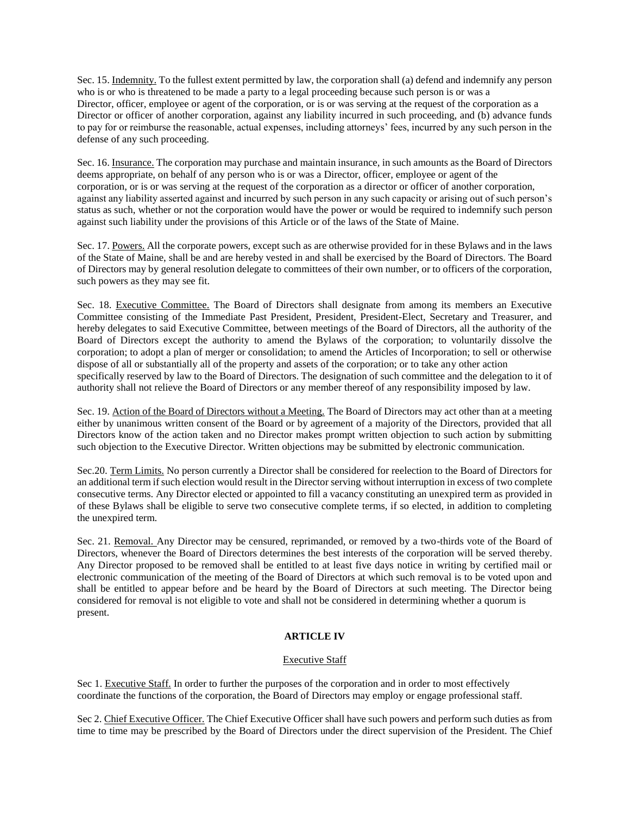Sec. 15. Indemnity. To the fullest extent permitted by law, the corporation shall (a) defend and indemnify any person who is or who is threatened to be made a party to a legal proceeding because such person is or was a Director, officer, employee or agent of the corporation, or is or was serving at the request of the corporation as a Director or officer of another corporation, against any liability incurred in such proceeding, and (b) advance funds to pay for or reimburse the reasonable, actual expenses, including attorneys' fees, incurred by any such person in the defense of any such proceeding.

Sec. 16. Insurance. The corporation may purchase and maintain insurance, in such amounts as the Board of Directors deems appropriate, on behalf of any person who is or was a Director, officer, employee or agent of the corporation, or is or was serving at the request of the corporation as a director or officer of another corporation, against any liability asserted against and incurred by such person in any such capacity or arising out of such person's status as such, whether or not the corporation would have the power or would be required to indemnify such person against such liability under the provisions of this Article or of the laws of the State of Maine.

Sec. 17. Powers. All the corporate powers, except such as are otherwise provided for in these Bylaws and in the laws of the State of Maine, shall be and are hereby vested in and shall be exercised by the Board of Directors. The Board of Directors may by general resolution delegate to committees of their own number, or to officers of the corporation, such powers as they may see fit.

Sec. 18. Executive Committee. The Board of Directors shall designate from among its members an Executive Committee consisting of the Immediate Past President, President, President-Elect, Secretary and Treasurer, and hereby delegates to said Executive Committee, between meetings of the Board of Directors, all the authority of the Board of Directors except the authority to amend the Bylaws of the corporation; to voluntarily dissolve the corporation; to adopt a plan of merger or consolidation; to amend the Articles of Incorporation; to sell or otherwise dispose of all or substantially all of the property and assets of the corporation; or to take any other action specifically reserved by law to the Board of Directors. The designation of such committee and the delegation to it of authority shall not relieve the Board of Directors or any member thereof of any responsibility imposed by law.

Sec. 19. Action of the Board of Directors without a Meeting. The Board of Directors may act other than at a meeting either by unanimous written consent of the Board or by agreement of a majority of the Directors, provided that all Directors know of the action taken and no Director makes prompt written objection to such action by submitting such objection to the Executive Director. Written objections may be submitted by electronic communication.

Sec.20. Term Limits. No person currently a Director shall be considered for reelection to the Board of Directors for an additional term if such election would result in the Director serving without interruption in excess of two complete consecutive terms. Any Director elected or appointed to fill a vacancy constituting an unexpired term as provided in of these Bylaws shall be eligible to serve two consecutive complete terms, if so elected, in addition to completing the unexpired term.

Sec. 21. Removal. Any Director may be censured, reprimanded, or removed by a two-thirds vote of the Board of Directors, whenever the Board of Directors determines the best interests of the corporation will be served thereby. Any Director proposed to be removed shall be entitled to at least five days notice in writing by certified mail or electronic communication of the meeting of the Board of Directors at which such removal is to be voted upon and shall be entitled to appear before and be heard by the Board of Directors at such meeting. The Director being considered for removal is not eligible to vote and shall not be considered in determining whether a quorum is present.

# **ARTICLE IV**

# Executive Staff

Sec 1. Executive Staff. In order to further the purposes of the corporation and in order to most effectively coordinate the functions of the corporation, the Board of Directors may employ or engage professional staff.

Sec 2. Chief Executive Officer. The Chief Executive Officer shall have such powers and perform such duties as from time to time may be prescribed by the Board of Directors under the direct supervision of the President. The Chief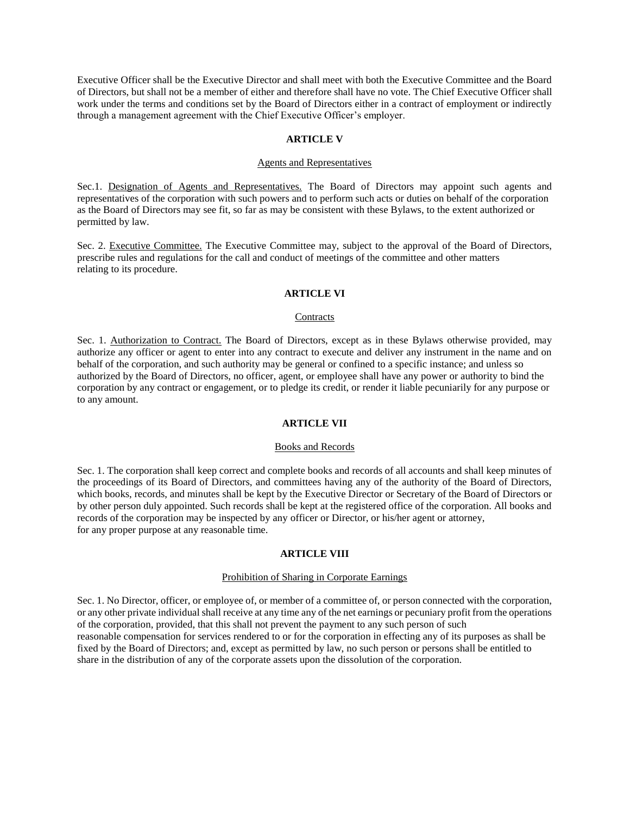Executive Officer shall be the Executive Director and shall meet with both the Executive Committee and the Board of Directors, but shall not be a member of either and therefore shall have no vote. The Chief Executive Officer shall work under the terms and conditions set by the Board of Directors either in a contract of employment or indirectly through a management agreement with the Chief Executive Officer's employer.

#### **ARTICLE V**

#### Agents and Representatives

Sec.1. Designation of Agents and Representatives. The Board of Directors may appoint such agents and representatives of the corporation with such powers and to perform such acts or duties on behalf of the corporation as the Board of Directors may see fit, so far as may be consistent with these Bylaws, to the extent authorized or permitted by law.

Sec. 2. Executive Committee. The Executive Committee may, subject to the approval of the Board of Directors, prescribe rules and regulations for the call and conduct of meetings of the committee and other matters relating to its procedure.

#### **ARTICLE VI**

### **Contracts**

Sec. 1. Authorization to Contract. The Board of Directors, except as in these Bylaws otherwise provided, may authorize any officer or agent to enter into any contract to execute and deliver any instrument in the name and on behalf of the corporation, and such authority may be general or confined to a specific instance; and unless so authorized by the Board of Directors, no officer, agent, or employee shall have any power or authority to bind the corporation by any contract or engagement, or to pledge its credit, or render it liable pecuniarily for any purpose or to any amount.

### **ARTICLE VII**

#### Books and Records

Sec. 1. The corporation shall keep correct and complete books and records of all accounts and shall keep minutes of the proceedings of its Board of Directors, and committees having any of the authority of the Board of Directors, which books, records, and minutes shall be kept by the Executive Director or Secretary of the Board of Directors or by other person duly appointed. Such records shall be kept at the registered office of the corporation. All books and records of the corporation may be inspected by any officer or Director, or his/her agent or attorney, for any proper purpose at any reasonable time.

#### **ARTICLE VIII**

# Prohibition of Sharing in Corporate Earnings

Sec. 1. No Director, officer, or employee of, or member of a committee of, or person connected with the corporation, or any other private individual shall receive at any time any of the net earnings or pecuniary profit from the operations of the corporation, provided, that this shall not prevent the payment to any such person of such reasonable compensation for services rendered to or for the corporation in effecting any of its purposes as shall be fixed by the Board of Directors; and, except as permitted by law, no such person or persons shall be entitled to share in the distribution of any of the corporate assets upon the dissolution of the corporation.